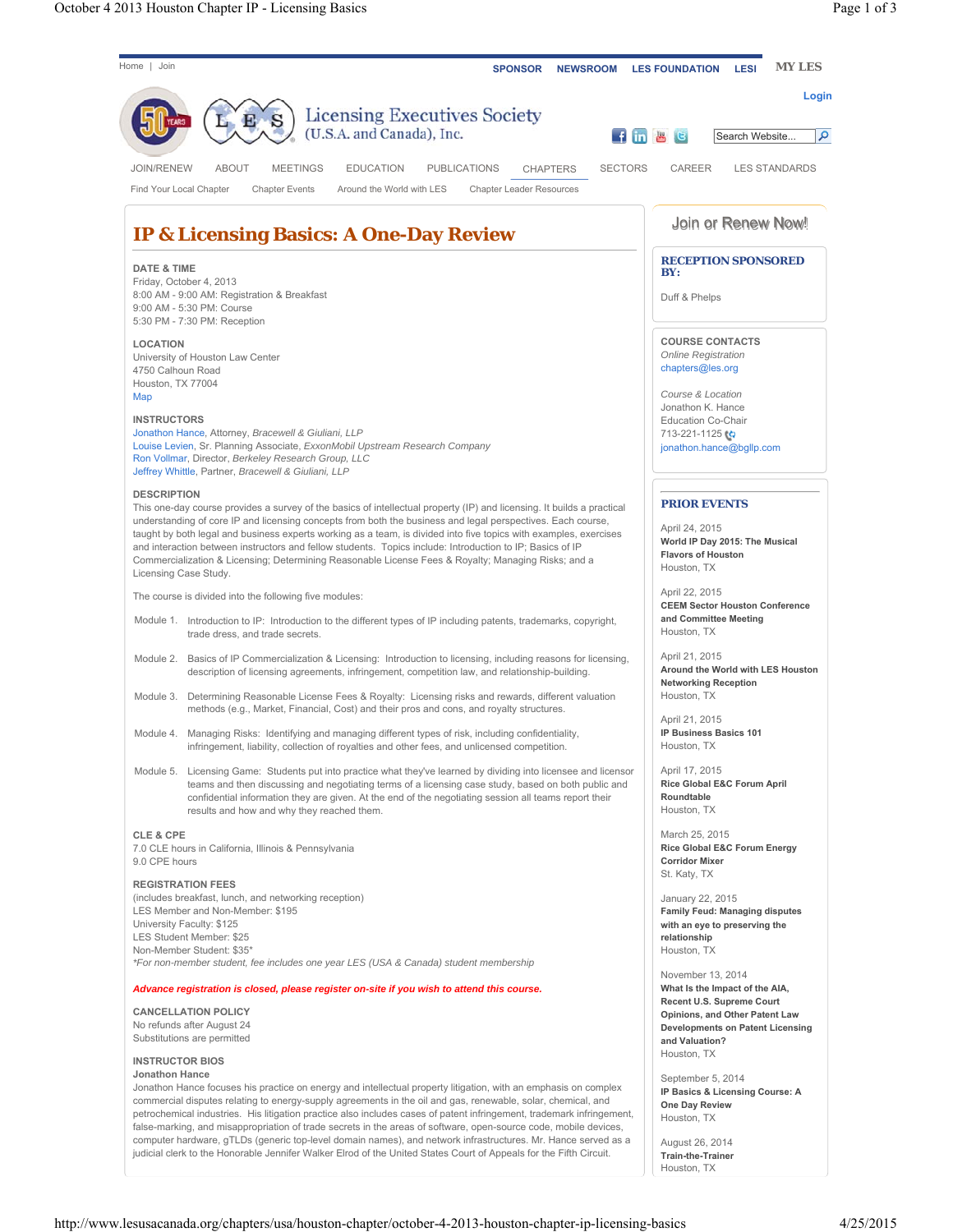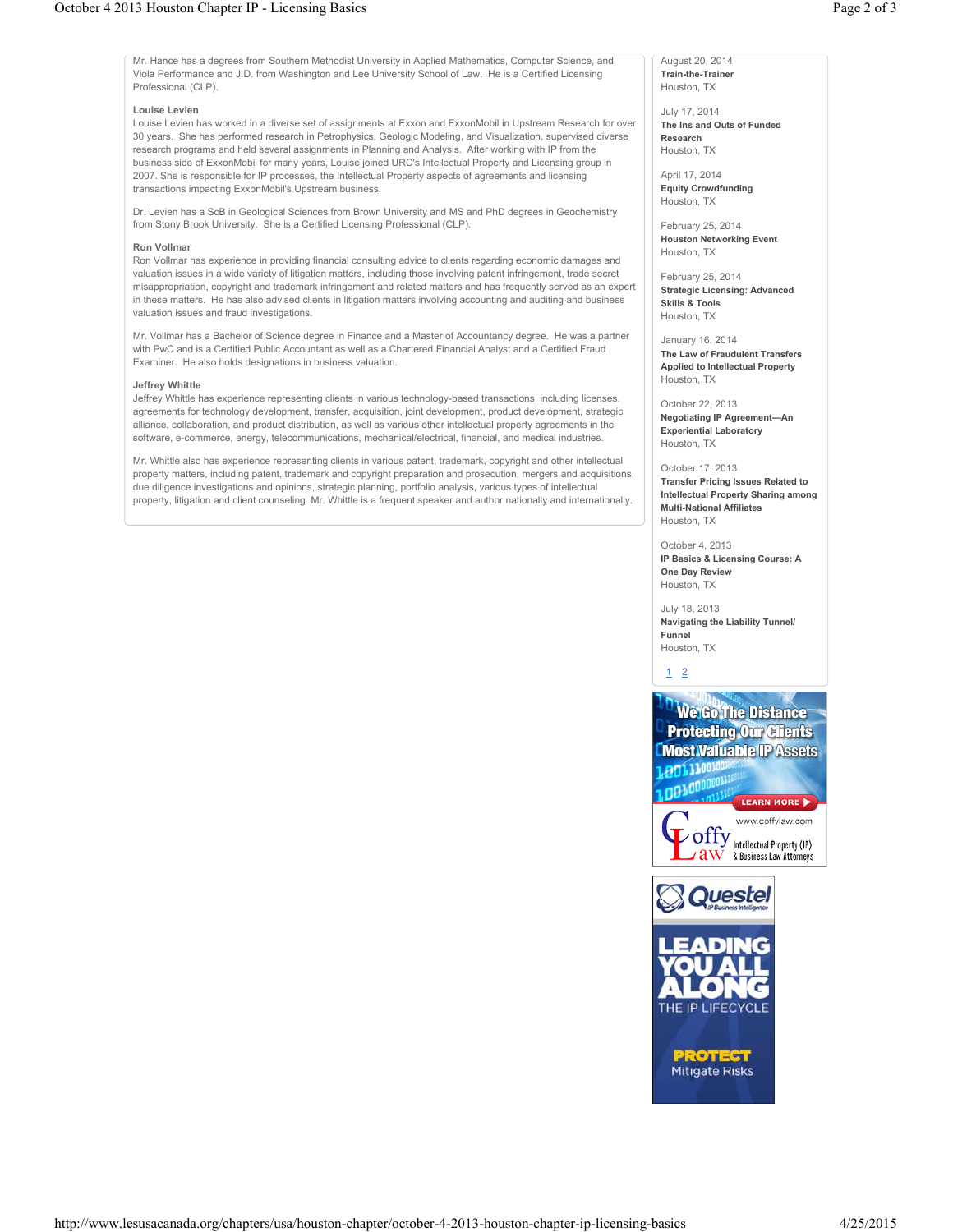Mr. Hance has a degrees from Southern Methodist University in Applied Mathematics, Computer Science, and Viola Performance and J.D. from Washington and Lee University School of Law. He is a Certified Licensing Professional (CLP).

## **Louise Levien**

Louise Levien has worked in a diverse set of assignments at Exxon and ExxonMobil in Upstream Research for over 30 years. She has performed research in Petrophysics, Geologic Modeling, and Visualization, supervised diverse research programs and held several assignments in Planning and Analysis. After working with IP from the business side of ExxonMobil for many years, Louise joined URC's Intellectual Property and Licensing group in 2007. She is responsible for IP processes, the Intellectual Property aspects of agreements and licensing transactions impacting ExxonMobil's Upstream business.

Dr. Levien has a ScB in Geological Sciences from Brown University and MS and PhD degrees in Geochemistry from Stony Brook University. She is a Certified Licensing Professional (CLP).

## **Ron Vollmar**

Ron Vollmar has experience in providing financial consulting advice to clients regarding economic damages and valuation issues in a wide variety of litigation matters, including those involving patent infringement, trade secret misappropriation, copyright and trademark infringement and related matters and has frequently served as an expert in these matters. He has also advised clients in litigation matters involving accounting and auditing and business valuation issues and fraud investigations.

Mr. Vollmar has a Bachelor of Science degree in Finance and a Master of Accountancy degree. He was a partner with PwC and is a Certified Public Accountant as well as a Chartered Financial Analyst and a Certified Fraud Examiner. He also holds designations in business valuation.

## **Jeffrey Whittle**

Jeffrey Whittle has experience representing clients in various technology-based transactions, including licenses, agreements for technology development, transfer, acquisition, joint development, product development, strategic alliance, collaboration, and product distribution, as well as various other intellectual property agreements in the software, e-commerce, energy, telecommunications, mechanical/electrical, financial, and medical industries.

Mr. Whittle also has experience representing clients in various patent, trademark, copyright and other intellectual property matters, including patent, trademark and copyright preparation and prosecution, mergers and acquisitions, due diligence investigations and opinions, strategic planning, portfolio analysis, various types of intellectual property, litigation and client counseling. Mr. Whittle is a frequent speaker and author nationally and internationally.

August 20, 2014 **Train-the-Trainer** Houston, TX

July 17, 2014 **The Ins and Outs of Funded Research** Houston, TX

April 17, 2014 **Equity Crowdfunding**

Houston, TX

February 25, 2014 **Houston Networking Event** Houston, TX

February 25, 2014 **Strategic Licensing: Advanced Skills & Tools** Houston, TX

January 16, 2014 **The Law of Fraudulent Transfers Applied to Intellectual Property** Houston, TX

October 22, 2013 **Negotiating IP Agreement—An Experiential Laboratory** Houston, TX

October 17, 2013 **Transfer Pricing Issues Related to Intellectual Property Sharing among Multi-National Affiliates** Houston, TX

October 4, 2013 **IP Basics & Licensing Course: A One Day Review** Houston, TX

July 18, 2013 **Navigating the Liability Tunnel/ Funnel** Houston, TX

## 1 2







THE IP LIFECYCLE